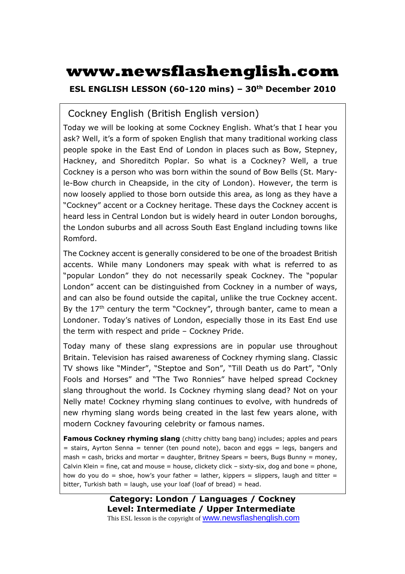# **www.newsflashenglish.com**

**ESL ENGLISH LESSON (60-120 mins) – 30th December 2010** 

### Cockney English (British English version)

Today we will be looking at some Cockney English. What's that I hear you ask? Well, it's a form of spoken English that many traditional working class people spoke in the East End of London in places such as Bow, Stepney, Hackney, and Shoreditch Poplar. So what is a Cockney? Well, a true Cockney is a person who was born within the sound of Bow Bells (St. Maryle-Bow church in Cheapside, in the city of London). However, the term is now loosely applied to those born outside this area, as long as they have a "Cockney" accent or a Cockney heritage. These days the Cockney accent is heard less in Central London but is widely heard in outer London boroughs, the London suburbs and all across South East England including towns like Romford.

The Cockney accent is generally considered to be one of the broadest British accents. While many Londoners may speak with what is referred to as "popular London" they do not necessarily speak Cockney. The "popular London" accent can be distinguished from Cockney in a number of ways, and can also be found outside the capital, unlike the true Cockney accent. By the  $17<sup>th</sup>$  century the term "Cockney", through banter, came to mean a Londoner. Today's natives of London, especially those in its East End use the term with respect and pride – Cockney Pride.

Today many of these slang expressions are in popular use throughout Britain. Television has raised awareness of Cockney rhyming slang. Classic TV shows like "Minder", "Steptoe and Son", "Till Death us do Part", "Only Fools and Horses" and "The Two Ronnies" have helped spread Cockney slang throughout the world. Is Cockney rhyming slang dead? Not on your Nelly mate! Cockney rhyming slang continues to evolve, with hundreds of new rhyming slang words being created in the last few years alone, with modern Cockney favouring celebrity or famous names.

**Famous Cockney rhyming slang** (chitty chitty bang bang) includes; apples and pears = stairs, Ayrton Senna = tenner (ten pound note), bacon and eggs = legs, bangers and  $mash = cash$ , bricks and mortar = daughter, Britney Spears = beers, Bugs Bunny = money, Calvin Klein = fine, cat and mouse = house, clickety click – sixty-six, dog and bone = phone, how do you do = shoe, how's your father = lather, kippers = slippers, laugh and titter = bitter, Turkish bath = laugh, use your loaf (loaf of bread) = head.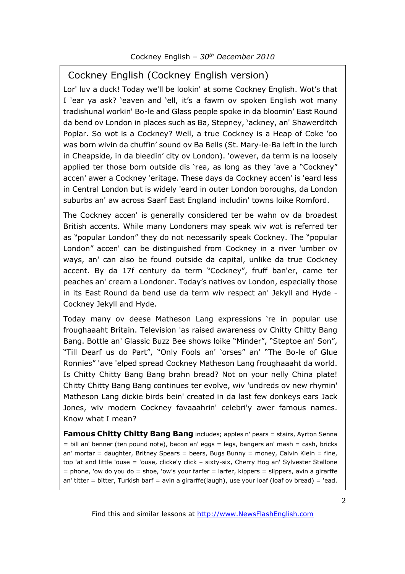### Cockney English (Cockney English version)

Lor' luv a duck! Today we'll be lookin' at some Cockney English. Wot's that I 'ear ya ask? 'eaven and 'ell, it's a fawm ov spoken English wot many tradishunal workin' Bo-le and Glass people spoke in da bloomin' East Round da bend ov London in places such as Ba, Stepney, 'ackney, an' Shawerditch Poplar. So wot is a Cockney? Well, a true Cockney is a Heap of Coke 'oo was born wivin da chuffin' sound ov Ba Bells (St. Mary-le-Ba left in the lurch in Cheapside, in da bleedin' city ov London). 'owever, da term is na loosely applied ter those born outside dis 'rea, as long as they 'ave a "Cockney" accen' awer a Cockney 'eritage. These days da Cockney accen' is 'eard less in Central London but is widely 'eard in outer London boroughs, da London suburbs an' aw across Saarf East England includin' towns loike Romford.

The Cockney accen' is generally considered ter be wahn ov da broadest British accents. While many Londoners may speak wiv wot is referred ter as "popular London" they do not necessarily speak Cockney. The "popular London" accen' can be distinguished from Cockney in a river 'umber ov ways, an' can also be found outside da capital, unlike da true Cockney accent. By da 17f century da term "Cockney", fruff ban'er, came ter peaches an' cream a Londoner. Today's natives ov London, especially those in its East Round da bend use da term wiv respect an' Jekyll and Hyde - Cockney Jekyll and Hyde.

Today many ov deese Matheson Lang expressions 're in popular use froughaaaht Britain. Television 'as raised awareness ov Chitty Chitty Bang Bang. Bottle an' Glassic Buzz Bee shows loike "Minder", "Steptoe an' Son", "Till Dearf us do Part", "Only Fools an' 'orses" an' "The Bo-le of Glue Ronnies" 'ave 'elped spread Cockney Matheson Lang froughaaaht da world. Is Chitty Chitty Bang Bang brahn bread? Not on your nelly China plate! Chitty Chitty Bang Bang continues ter evolve, wiv 'undreds ov new rhymin' Matheson Lang dickie birds bein' created in da last few donkeys ears Jack Jones, wiv modern Cockney favaaahrin' celebri'y awer famous names. Know what I mean?

**Famous Chitty Chitty Bang Bang** includes; apples n' pears = stairs, Ayrton Senna = bill an' benner (ten pound note), bacon an' eggs = legs, bangers an' mash = cash, bricks an' mortar = daughter, Britney Spears = beers, Bugs Bunny = money, Calvin Klein = fine, top 'at and little 'ouse = 'ouse, clicke'y click – sixty-six, Cherry Hog an' Sylvester Stallone = phone, 'ow do you do = shoe, 'ow's your farfer = larfer, kippers = slippers, avin a girarffe an' titter = bitter, Turkish barf = avin a girarffe(laugh), use your loaf (loaf ov bread) = 'ead.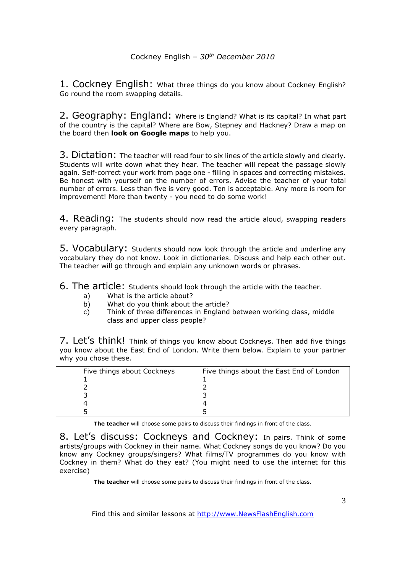1. Cockney English: What three things do you know about Cockney English? Go round the room swapping details.

2. Geography: England: Where is England? What is its capital? In what part of the country is the capital? Where are Bow, Stepney and Hackney? Draw a map on the board then **look on Google maps** to help you.

3. Dictation: The teacher will read four to six lines of the article slowly and clearly. Students will write down what they hear. The teacher will repeat the passage slowly again. Self-correct your work from page one - filling in spaces and correcting mistakes. Be honest with yourself on the number of errors. Advise the teacher of your total number of errors. Less than five is very good. Ten is acceptable. Any more is room for improvement! More than twenty - you need to do some work!

4. Reading: The students should now read the article aloud, swapping readers every paragraph.

5. Vocabulary: Students should now look through the article and underline any vocabulary they do not know. Look in dictionaries. Discuss and help each other out. The teacher will go through and explain any unknown words or phrases.

6. The article: Students should look through the article with the teacher.

- a) What is the article about?
- b) What do you think about the article?
- c) Think of three differences in England between working class, middle class and upper class people?

7. Let's think! Think of things you know about Cockneys. Then add five things you know about the East End of London. Write them below. Explain to your partner why you chose these.

| Five things about Cockneys | Five things about the East End of London |  |
|----------------------------|------------------------------------------|--|
|                            |                                          |  |
|                            |                                          |  |
|                            |                                          |  |
|                            |                                          |  |
|                            |                                          |  |

**The teacher** will choose some pairs to discuss their findings in front of the class.

8. Let's discuss: Cockneys and Cockney: In pairs. Think of some artists/groups with Cockney in their name. What Cockney songs do you know? Do you know any Cockney groups/singers? What films/TV programmes do you know with Cockney in them? What do they eat? (You might need to use the internet for this exercise)

**The teacher** will choose some pairs to discuss their findings in front of the class.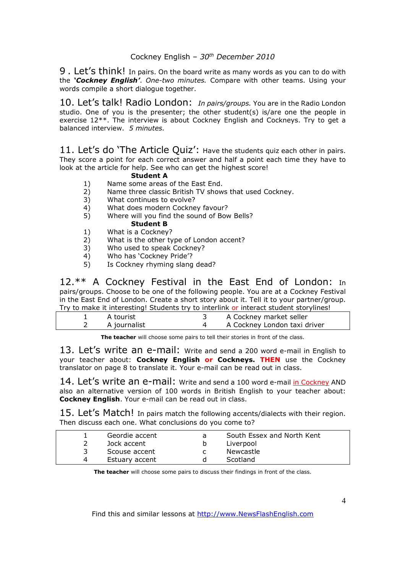9. Let's think! In pairs. On the board write as many words as you can to do with the *'Cockney English'*. *One-two minutes.* Compare with other teams. Using your words compile a short dialogue together.

10. Let's talk! Radio London: *In pairs/groups.* You are in the Radio London studio. One of you is the presenter; the other student(s) is/are one the people in exercise 12\*\*. The interview is about Cockney English and Cockneys. Try to get a balanced interview. *5 minutes.* 

11. Let's do 'The Article Quiz': Have the students quiz each other in pairs. They score a point for each correct answer and half a point each time they have to look at the article for help. See who can get the highest score!

#### **Student A**

- 1) Name some areas of the East End.
- 2) Name three classic British TV shows that used Cockney.
- 3) What continues to evolve?
- 4) What does modern Cockney favour?<br>5) Where will you find the sound of Boy
- 5) Where will you find the sound of Bow Bells? **Student B**
- 1) What is a Cockney?
- 
- 2) What is the other type of London accent?<br>3) Who used to speak Cockney? Who used to speak Cockney?
- 4) Who has 'Cockney Pride'?
- 5) Is Cockney rhyming slang dead?

12.\*\* A Cockney Festival in the East End of London: In pairs/groups. Choose to be one of the following people. You are at a Cockney Festival in the East End of London. Create a short story about it. Tell it to your partner/group. Try to make it interesting! Students try to interlink or interact student storylines!

|  |                | <b>If you make it medicating.</b> Staachts try to meering or meering to an experience and staacht storymess. |
|--|----------------|--------------------------------------------------------------------------------------------------------------|
|  | A tourist      | A Cockney market seller                                                                                      |
|  | 2 A journalist | A Cockney London taxi driver                                                                                 |
|  |                |                                                                                                              |

**The teacher** will choose some pairs to tell their stories in front of the class.

13. Let's write an e-mail: Write and send a 200 word e-mail in English to your teacher about: **Cockney English or Cockneys. THEN** use the Cockney translator on page 8 to translate it. Your e-mail can be read out in class.

14. Let's write an e-mail: Write and send a 100 word e-mail in Cockney AND also an alternative version of 100 words in British English to your teacher about: **Cockney English**. Your e-mail can be read out in class.

15. Let's Match! In pairs match the following accents/dialects with their region. Then discuss each one. What conclusions do you come to?

| Geordie accent | South Essex and North Kent |
|----------------|----------------------------|
| Jock accent    | Liverpool                  |
| Scouse accent  | Newcastle                  |
| Estuary accent | Scotland                   |

**The teacher** will choose some pairs to discuss their findings in front of the class.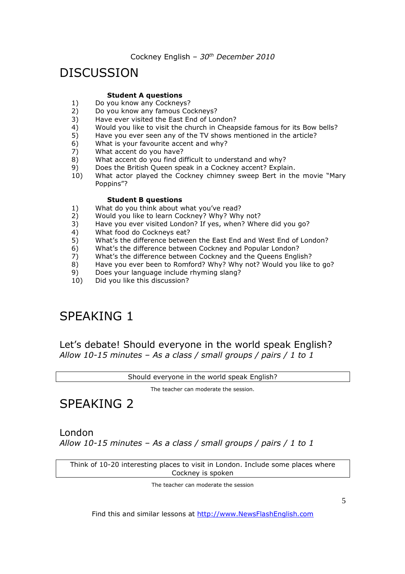## **DISCUSSION**

#### **Student A questions**

- 1) Do you know any Cockneys?<br>2) Do you know any famous Co
- Do you know any famous Cockneys?
- 3) Have ever visited the East End of London?
- 4) Would you like to visit the church in Cheapside famous for its Bow bells?
- 5) Have you ever seen any of the TV shows mentioned in the article?
- 6) What is your favourite accent and why?
- 7) What accent do you have?
- 8) What accent do you find difficult to understand and why?
- 9) Does the British Queen speak in a Cockney accent? Explain.
- 10) What actor played the Cockney chimney sweep Bert in the movie "Mary Poppins"?

#### **Student B questions**

- 1) What do you think about what you've read?
- 2) Would you like to learn Cockney? Why? Why not?
- 3) Have you ever visited London? If yes, when? Where did you go?
- 4) What food do Cockneys eat?
- 5) What's the difference between the East End and West End of London?
- 6) What's the difference between Cockney and Popular London?
- 7) What's the difference between Cockney and the Queens English?<br>8) Have you ever been to Romford? Why? Why not? Would you like
- Have you ever been to Romford? Why? Why not? Would you like to go?
- 9) Does your language include rhyming slang?
- 10) Did you like this discussion?

## SPEAKING 1

Let's debate! Should everyone in the world speak English? *Allow 10-15 minutes – As a class / small groups / pairs / 1 to 1*

Should everyone in the world speak English?

The teacher can moderate the session.

## SPEAKING 2

London *Allow 10-15 minutes – As a class / small groups / pairs / 1 to 1*

Think of 10-20 interesting places to visit in London. Include some places where Cockney is spoken

The teacher can moderate the session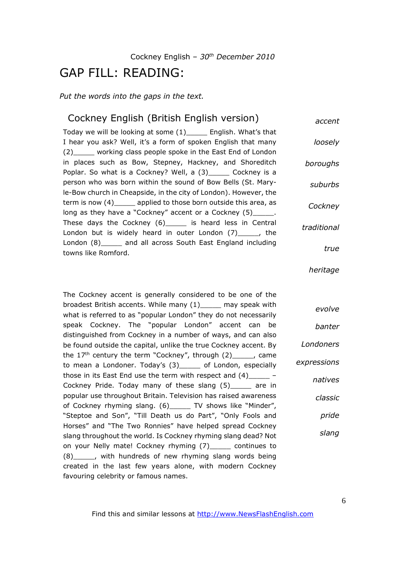### GAP FILL: READING:

*Put the words into the gaps in the text.* 

#### Cockney English (British English version) Today we will be looking at some (1)\_\_\_\_\_ English. What's that I hear you ask? Well, it's a form of spoken English that many (2)\_\_\_\_\_ working class people spoke in the East End of London in places such as Bow, Stepney, Hackney, and Shoreditch Poplar. So what is a Cockney? Well, a (3)\_\_\_\_\_ Cockney is a person who was born within the sound of Bow Bells (St. Maryle-Bow church in Cheapside, in the city of London). However, the term is now (4) applied to those born outside this area, as long as they have a "Cockney" accent or a Cockney (5) These days the Cockney (6) is heard less in Central London but is widely heard in outer London (7)\_\_\_\_\_, the London (8) and all across South East England including towns like Romford. *accent loosely boroughs suburbs Cockney traditional true*

The Cockney accent is generally considered to be one of the broadest British accents. While many (1)\_\_\_\_\_ may speak with what is referred to as "popular London" they do not necessarily speak Cockney. The "popular London" accent can be distinguished from Cockney in a number of ways, and can also be found outside the capital, unlike the true Cockney accent. By the  $17<sup>th</sup>$  century the term "Cockney", through  $(2)$ \_\_\_\_, came to mean a Londoner. Today's (3)\_\_\_\_\_ of London, especially those in its East End use the term with respect and (4)\_\_\_\_\_ – Cockney Pride. Today many of these slang (5)\_\_\_\_\_ are in popular use throughout Britain. Television has raised awareness of Cockney rhyming slang. (6)\_\_\_\_\_ TV shows like "Minder", "Steptoe and Son", "Till Death us do Part", "Only Fools and Horses" and "The Two Ronnies" have helped spread Cockney slang throughout the world. Is Cockney rhyming slang dead? Not on your Nelly mate! Cockney rhyming (7)\_\_\_\_\_ continues to (8)\_\_\_\_\_, with hundreds of new rhyming slang words being created in the last few years alone, with modern Cockney favouring celebrity or famous names.

*Londoners expressions natives classic pride slang*

*heritage*

*evolve*

*banter*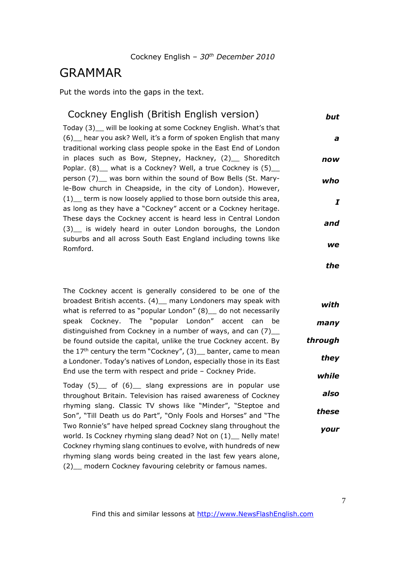### GRAMMAR

Put the words into the gaps in the text.

| but | Cockney English (British English version)                                                                                                                                                                |
|-----|----------------------------------------------------------------------------------------------------------------------------------------------------------------------------------------------------------|
| a   | Today (3) __ will be looking at some Cockney English. What's that<br>(6) hear you ask? Well, it's a form of spoken English that many<br>traditional working class people spoke in the East End of London |
| now | in places such as Bow, Stepney, Hackney, (2) Shoreditch                                                                                                                                                  |
| who | Poplar. (8) _ what is a Cockney? Well, a true Cockney is (5) __<br>person (7) was born within the sound of Bow Bells (St. Mary-                                                                          |
| I   | le-Bow church in Cheapside, in the city of London). However,<br>(1) term is now loosely applied to those born outside this area,<br>as long as they have a "Cockney" accent or a Cockney heritage.       |
| and | These days the Cockney accent is heard less in Central London<br>(3) is widely heard in outer London boroughs, the London                                                                                |
| we  | suburbs and all across South East England including towns like<br>Romford.                                                                                                                               |

The Cockney accent is generally considered to be one of the broadest British accents. (4) \_ many Londoners may speak with what is referred to as "popular London" (8) \_ do not necessarily speak Cockney. The "popular London" accent can be distinguished from Cockney in a number of ways, and can  $(7)$ be found outside the capital, unlike the true Cockney accent. By the  $17<sup>th</sup>$  century the term "Cockney", (3) banter, came to mean a Londoner. Today's natives of London, especially those in its East End use the term with respect and pride – Cockney Pride. *through*

Today (5)\_\_ of (6)\_\_ slang expressions are in popular use throughout Britain. Television has raised awareness of Cockney rhyming slang. Classic TV shows like "Minder", "Steptoe and Son", "Till Death us do Part", "Only Fools and Horses" and "The Two Ronnie's" have helped spread Cockney slang throughout the world. Is Cockney rhyming slang dead? Not on (1) Nelly mate! Cockney rhyming slang continues to evolve, with hundreds of new rhyming slang words being created in the last few years alone, (2) modern Cockney favouring celebrity or famous names.

*the*

*with*

*many*

*they*

*while*

*also*

*these*

*your*